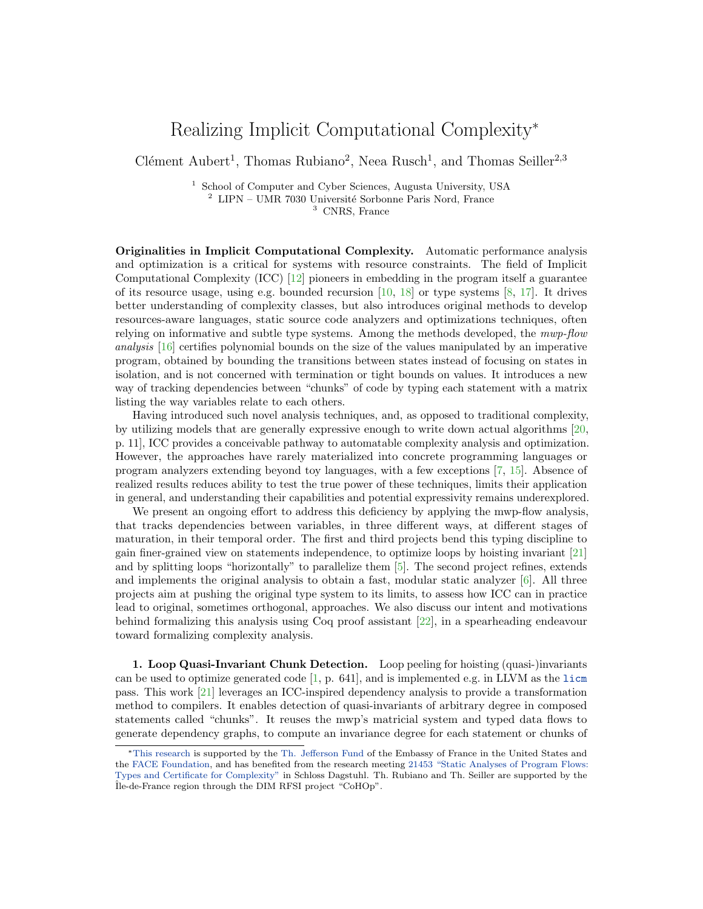## Realizing Implicit Computational Complexity<sup>∗</sup>

Clément Aubert<sup>1</sup>, Thomas Rubiano<sup>2</sup>, Neea Rusch<sup>1</sup>, and Thomas Seiller<sup>2,3</sup>

<sup>1</sup> School of Computer and Cyber Sciences, Augusta University, USA <sup>2</sup> LIPN – UMR 7030 Université Sorbonne Paris Nord, France <sup>3</sup> CNRS, France

Originalities in Implicit Computational Complexity. Automatic performance analysis and optimization is a critical for systems with resource constraints. The field of Implicit Computational Complexity (ICC) [\[12\]](#page-2-0) pioneers in embedding in the program itself a guarantee of its resource usage, using e.g. bounded recursion  $[10, 18]$  $[10, 18]$  $[10, 18]$  or type systems  $[8, 17]$  $[8, 17]$  $[8, 17]$ . It drives better understanding of complexity classes, but also introduces original methods to develop resources-aware languages, static source code analyzers and optimizations techniques, often relying on informative and subtle type systems. Among the methods developed, the mwp-flow analysis [\[16\]](#page-2-5) certifies polynomial bounds on the size of the values manipulated by an imperative program, obtained by bounding the transitions between states instead of focusing on states in isolation, and is not concerned with termination or tight bounds on values. It introduces a new way of tracking dependencies between "chunks" of code by typing each statement with a matrix listing the way variables relate to each others.

Having introduced such novel analysis techniques, and, as opposed to traditional complexity, by utilizing models that are generally expressive enough to write down actual algorithms [\[20,](#page-3-0) p. 11], ICC provides a conceivable pathway to automatable complexity analysis and optimization. However, the approaches have rarely materialized into concrete programming languages or program analyzers extending beyond toy languages, with a few exceptions [\[7,](#page-2-6) [15\]](#page-2-7). Absence of realized results reduces ability to test the true power of these techniques, limits their application in general, and understanding their capabilities and potential expressivity remains underexplored.

We present an ongoing effort to address this deficiency by applying the mwp-flow analysis, that tracks dependencies between variables, in three different ways, at different stages of maturation, in their temporal order. The first and third projects bend this typing discipline to gain finer-grained view on statements independence, to optimize loops by hoisting invariant [\[21\]](#page-3-1) and by splitting loops "horizontally" to parallelize them [\[5\]](#page-2-8). The second project refines, extends and implements the original analysis to obtain a fast, modular static analyzer [\[6\]](#page-2-9). All three projects aim at pushing the original type system to its limits, to assess how ICC can in practice lead to original, sometimes orthogonal, approaches. We also discuss our intent and motivations behind formalizing this analysis using Coq proof assistant [\[22\]](#page-3-2), in a spearheading endeavour toward formalizing complexity analysis.

1. Loop Quasi-Invariant Chunk Detection. Loop peeling for hoisting (quasi-)invariants can be used to optimize generated code  $[1, p. 641]$  $[1, p. 641]$ , and is implemented e.g. in LLVM as the [licm](https://llvm.org/docs/Passes.html#licm-loop-invariant-code-motion) pass. This work [\[21\]](#page-3-1) leverages an ICC-inspired dependency analysis to provide a transformation method to compilers. It enables detection of quasi-invariants of arbitrary degree in composed statements called "chunks". It reuses the mwp's matricial system and typed data flows to generate dependency graphs, to compute an invariance degree for each statement or chunks of

<sup>∗</sup>[This research](https://spots.augusta.edu/caubert/research/statycc/) is supported by the [Th. Jefferson Fund](https://face-foundation.org/higher-education/thomas-jefferson-fund/) of the Embassy of France in the United States and the [FACE Foundation,](https://face-foundation.org/) and has benefited from the research meeting [21453 "Static Analyses of Program Flows:](https://www.dagstuhl.de/de/programm/kalender/evhp/?semnr=21453) [Types and Certificate for Complexity"](https://www.dagstuhl.de/de/programm/kalender/evhp/?semnr=21453) in Schloss Dagstuhl. Th. Rubiano and Th. Seiller are supported by the ˆIle-de-France region through the DIM RFSI project "CoHOp".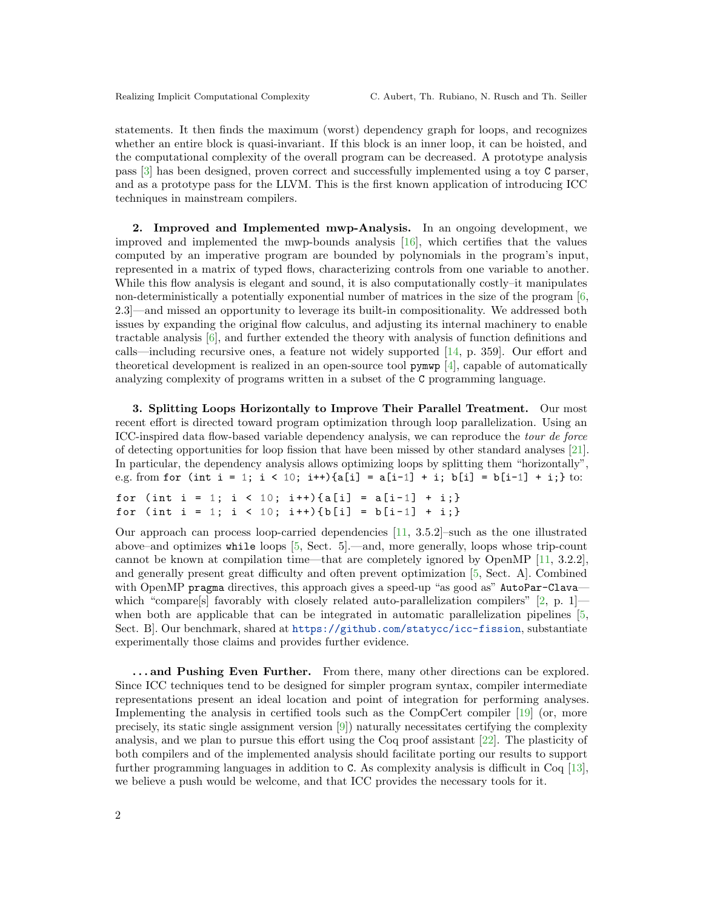statements. It then finds the maximum (worst) dependency graph for loops, and recognizes whether an entire block is quasi-invariant. If this block is an inner loop, it can be hoisted, and the computational complexity of the overall program can be decreased. A prototype analysis pass [\[3\]](#page-2-11) has been designed, proven correct and successfully implemented using a toy C parser, and as a prototype pass for the LLVM. This is the first known application of introducing ICC techniques in mainstream compilers.

2. Improved and Implemented mwp-Analysis. In an ongoing development, we improved and implemented the mwp-bounds analysis [\[16\]](#page-2-5), which certifies that the values computed by an imperative program are bounded by polynomials in the program's input, represented in a matrix of typed flows, characterizing controls from one variable to another. While this flow analysis is elegant and sound, it is also computationally costly–it manipulates non-deterministically a potentially exponential number of matrices in the size of the program [\[6,](#page-2-9) 2.3]—and missed an opportunity to leverage its built-in compositionality. We addressed both issues by expanding the original flow calculus, and adjusting its internal machinery to enable tractable analysis [\[6\]](#page-2-9), and further extended the theory with analysis of function definitions and calls—including recursive ones, a feature not widely supported [\[14,](#page-2-12) p. 359]. Our effort and theoretical development is realized in an open-source tool pymwp [\[4\]](#page-2-13), capable of automatically analyzing complexity of programs written in a subset of the C programming language.

3. Splitting Loops Horizontally to Improve Their Parallel Treatment. Our most recent effort is directed toward program optimization through loop parallelization. Using an ICC-inspired data flow-based variable dependency analysis, we can reproduce the tour de force of detecting opportunities for loop fission that have been missed by other standard analyses [\[21\]](#page-3-1). In particular, the dependency analysis allows optimizing loops by splitting them "horizontally", e.g. from for (int i = 1; i < 10; i++){a[i] = a[i-1] + i; b[i] = b[i-1] + i;} to:

for (int i = 1; i < 10; i++){a[i] = a[i-1] + i;} for (int i = 1; i < 10; i++){b[i] = b[i-1] + i;}

Our approach can process loop-carried dependencies [\[11,](#page-2-14) 3.5.2]–such as the one illustrated above–and optimizes while loops [\[5,](#page-2-8) Sect. 5].—and, more generally, loops whose trip-count cannot be known at compilation time—that are completely ignored by OpenMP [\[11,](#page-2-14) 3.2.2], and generally present great difficulty and often prevent optimization [\[5,](#page-2-8) Sect. A]. Combined with OpenMP pragma directives, this approach gives a speed-up "as good as" AutoPar-Clava which "compare[s] favorably with closely related auto-parallelization compilers"  $[2, p. 1]$  $[2, p. 1]$  when both are applicable that can be integrated in automatic parallelization pipelines [\[5,](#page-2-8) Sect. B]. Our benchmark, shared at <https://github.com/statycc/icc-fission>, substantiate experimentally those claims and provides further evidence.

... and Pushing Even Further. From there, many other directions can be explored. Since ICC techniques tend to be designed for simpler program syntax, compiler intermediate representations present an ideal location and point of integration for performing analyses. Implementing the analysis in certified tools such as the CompCert compiler [\[19\]](#page-3-3) (or, more precisely, its static single assignment version [\[9\]](#page-2-16)) naturally necessitates certifying the complexity analysis, and we plan to pursue this effort using the Coq proof assistant [\[22\]](#page-3-2). The plasticity of both compilers and of the implemented analysis should facilitate porting our results to support further programming languages in addition to C. As complexity analysis is difficult in Coq [\[13\]](#page-2-17), we believe a push would be welcome, and that ICC provides the necessary tools for it.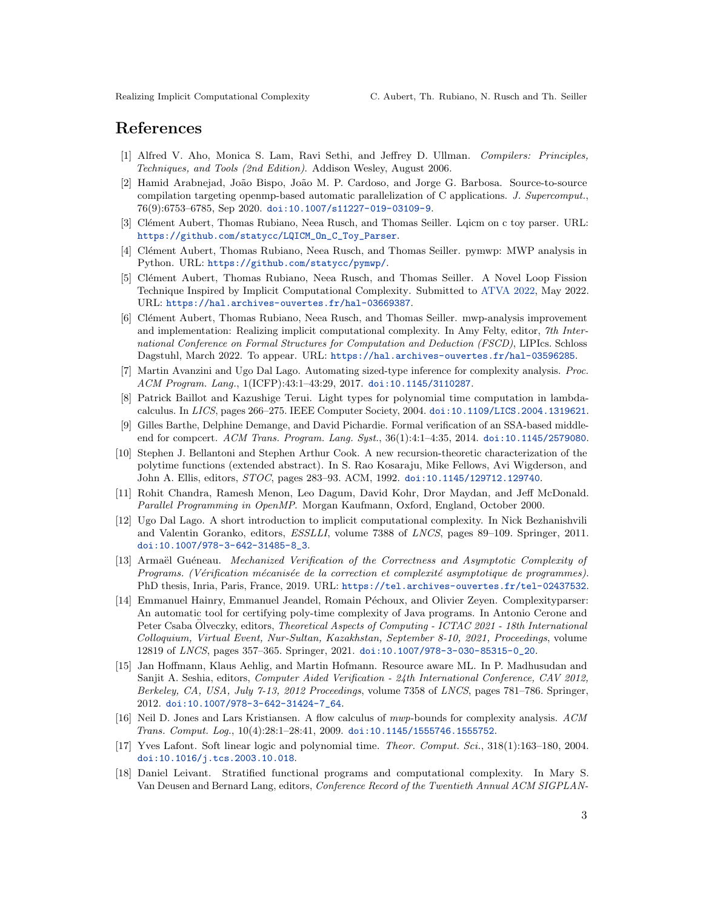## References

- <span id="page-2-10"></span>[1] Alfred V. Aho, Monica S. Lam, Ravi Sethi, and Jeffrey D. Ullman. Compilers: Principles, Techniques, and Tools (2nd Edition). Addison Wesley, August 2006.
- <span id="page-2-15"></span>[2] Hamid Arabnejad, João Bispo, João M. P. Cardoso, and Jorge G. Barbosa. Source-to-source compilation targeting openmp-based automatic parallelization of C applications. J. Supercomput., 76(9):6753–6785, Sep 2020. [doi:10.1007/s11227-019-03109-9](https://doi.org/10.1007/s11227-019-03109-9).
- <span id="page-2-11"></span>[3] Clément Aubert, Thomas Rubiano, Neea Rusch, and Thomas Seiller. Lqicm on c toy parser. URL: [https://github.com/statycc/LQICM\\_On\\_C\\_Toy\\_Parser](https://github.com/statycc/LQICM_On_C_Toy_Parser).
- <span id="page-2-13"></span>[4] Clément Aubert, Thomas Rubiano, Neea Rusch, and Thomas Seiller. pymwp: MWP analysis in Python. URL: <https://github.com/statycc/pymwp/>.
- <span id="page-2-8"></span>[5] Clément Aubert, Thomas Rubiano, Neea Rusch, and Thomas Seiller. A Novel Loop Fission Technique Inspired by Implicit Computational Complexity. Submitted to [ATVA 2022,](https://atva-conference.org/2022/) May 2022. URL: <https://hal.archives-ouvertes.fr/hal-03669387>.
- <span id="page-2-9"></span>[6] Clément Aubert, Thomas Rubiano, Neea Rusch, and Thomas Seiller. mwp-analysis improvement and implementation: Realizing implicit computational complexity. In Amy Felty, editor, 7th International Conference on Formal Structures for Computation and Deduction (FSCD), LIPIcs. Schloss Dagstuhl, March 2022. To appear. URL: <https://hal.archives-ouvertes.fr/hal-03596285>.
- <span id="page-2-6"></span>[7] Martin Avanzini and Ugo Dal Lago. Automating sized-type inference for complexity analysis. Proc. ACM Program. Lang., 1(ICFP):43:1–43:29, 2017. [doi:10.1145/3110287](https://doi.org/10.1145/3110287).
- <span id="page-2-3"></span>[8] Patrick Baillot and Kazushige Terui. Light types for polynomial time computation in lambdacalculus. In LICS, pages 266–275. IEEE Computer Society, 2004. [doi:10.1109/LICS.2004.1319621](https://doi.org/10.1109/LICS.2004.1319621).
- <span id="page-2-16"></span>[9] Gilles Barthe, Delphine Demange, and David Pichardie. Formal verification of an SSA-based middleend for compcert. ACM Trans. Program. Lang. Syst., 36(1):4:1-4:35, 2014. [doi:10.1145/2579080](https://doi.org/10.1145/2579080).
- <span id="page-2-1"></span>[10] Stephen J. Bellantoni and Stephen Arthur Cook. A new recursion-theoretic characterization of the polytime functions (extended abstract). In S. Rao Kosaraju, Mike Fellows, Avi Wigderson, and John A. Ellis, editors, STOC, pages 283–93. ACM, 1992. [doi:10.1145/129712.129740](https://doi.org/10.1145/129712.129740).
- <span id="page-2-14"></span>[11] Rohit Chandra, Ramesh Menon, Leo Dagum, David Kohr, Dror Maydan, and Jeff McDonald. Parallel Programming in OpenMP. Morgan Kaufmann, Oxford, England, October 2000.
- <span id="page-2-0"></span>[12] Ugo Dal Lago. A short introduction to implicit computational complexity. In Nick Bezhanishvili and Valentin Goranko, editors, ESSLLI, volume 7388 of LNCS, pages 89–109. Springer, 2011. [doi:10.1007/978-3-642-31485-8\\_3](https://doi.org/10.1007/978-3-642-31485-8_3).
- <span id="page-2-17"></span>[13] Armaël Guéneau. Mechanized Verification of the Correctness and Asymptotic Complexity of Programs. (Vérification mécanisée de la correction et complexité asymptotique de programmes). PhD thesis, Inria, Paris, France, 2019. URL: <https://tel.archives-ouvertes.fr/tel-02437532>.
- <span id="page-2-12"></span>[14] Emmanuel Hainry, Emmanuel Jeandel, Romain Péchoux, and Olivier Zeyen. Complexityparser: An automatic tool for certifying poly-time complexity of Java programs. In Antonio Cerone and Peter Csaba Olveczky, editors, *Theoretical Aspects of Computing - ICTAC 2021 - 18th International* Colloquium, Virtual Event, Nur-Sultan, Kazakhstan, September 8-10, 2021, Proceedings, volume 12819 of LNCS, pages 357–365. Springer, 2021. [doi:10.1007/978-3-030-85315-0\\_20](https://doi.org/10.1007/978-3-030-85315-0_20).
- <span id="page-2-7"></span>[15] Jan Hoffmann, Klaus Aehlig, and Martin Hofmann. Resource aware ML. In P. Madhusudan and Sanjit A. Seshia, editors, *Computer Aided Verification - 24th International Conference, CAV 2012*, Berkeley, CA, USA, July 7-13, 2012 Proceedings, volume 7358 of LNCS, pages 781–786. Springer, 2012. [doi:10.1007/978-3-642-31424-7\\_64](https://doi.org/10.1007/978-3-642-31424-7_64).
- <span id="page-2-5"></span>[16] Neil D. Jones and Lars Kristiansen. A flow calculus of mwp-bounds for complexity analysis. ACM Trans. Comput. Log., 10(4):28:1–28:41, 2009. [doi:10.1145/1555746.1555752](https://doi.org/10.1145/1555746.1555752).
- <span id="page-2-4"></span>[17] Yves Lafont. Soft linear logic and polynomial time. Theor. Comput. Sci., 318(1):163–180, 2004. [doi:10.1016/j.tcs.2003.10.018](https://doi.org/10.1016/j.tcs.2003.10.018).
- <span id="page-2-2"></span>[18] Daniel Leivant. Stratified functional programs and computational complexity. In Mary S. Van Deusen and Bernard Lang, editors, Conference Record of the Twentieth Annual ACM SIGPLAN-